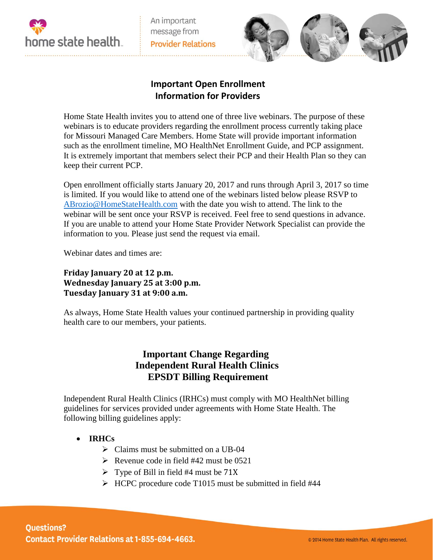

An important message from **Provider Relations** 



## **Important Open Enrollment Information for Providers**

Home State Health invites you to attend one of three live webinars. The purpose of these webinars is to educate providers regarding the enrollment process currently taking place for Missouri Managed Care Members. Home State will provide important information such as the enrollment timeline, MO HealthNet Enrollment Guide, and PCP assignment. It is extremely important that members select their PCP and their Health Plan so they can keep their current PCP.

Open enrollment officially starts January 20, 2017 and runs through April 3, 2017 so time is limited. If you would like to attend one of the webinars listed below please RSVP to [ABrozio@HomeStateHealth.com](mailto:ABrozio@HomeStateHealth.com) with the date you wish to attend. The link to the webinar will be sent once your RSVP is received. Feel free to send questions in advance. If you are unable to attend your Home State Provider Network Specialist can provide the information to you. Please just send the request via email.

Webinar dates and times are:

**Friday January 20 at 12 p.m. Wednesday January 25 at 3:00 p.m. Tuesday January 31 at 9:00 a.m.** 

As always, Home State Health values your continued partnership in providing quality health care to our members, your patients.

## **Important Change Regarding Independent Rural Health Clinics EPSDT Billing Requirement**

Independent Rural Health Clinics (IRHCs) must comply with MO HealthNet billing guidelines for services provided under agreements with Home State Health. The following billing guidelines apply:

- **IRHCs** 
	- $\triangleright$  Claims must be submitted on a UB-04
	- $\triangleright$  Revenue code in field #42 must be 0521
	- $\triangleright$  Type of Bill in field #4 must be 71X
	- $\triangleright$  HCPC procedure code T1015 must be submitted in field #44